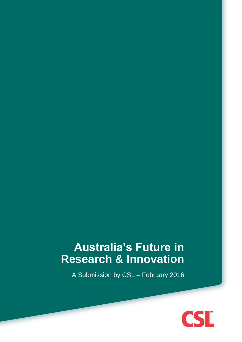# **Australia's Future in Research & Innovation**

A Submission by CSL – February 2016

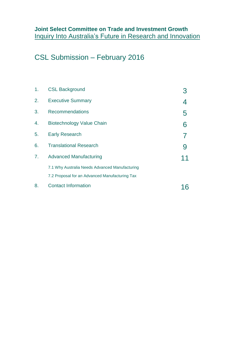# CSL Submission – February 2016

| 1. | <b>CSL Background</b>                          |   |  |
|----|------------------------------------------------|---|--|
| 2. | <b>Executive Summary</b>                       | 4 |  |
| 3. | <b>Recommendations</b>                         | 5 |  |
| 4. | <b>Biotechnology Value Chain</b>               | 6 |  |
| 5. | <b>Early Research</b>                          |   |  |
| 6. | <b>Translational Research</b>                  | 9 |  |
| 7. | <b>Advanced Manufacturing</b>                  |   |  |
|    | 7.1 Why Australia Needs Advanced Manufacturing |   |  |
|    | 7.2 Proposal for an Advanced Manufacturing Tax |   |  |
| 8. | <b>Contact Information</b>                     |   |  |
|    |                                                |   |  |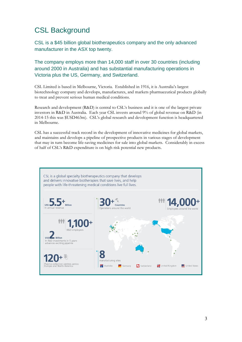# CSL Background

CSL is a \$45 billion global biotherapeutics company and the only advanced manufacturer in the ASX top twenty.

The company employs more than 14,000 staff in over 30 countries (including around 2000 in Australia) and has substantial manufacturing operations in Victoria plus the US, Germany, and Switzerland.

CSL Limited is based in Melbourne, Victoria. Established in 1916, it is Australia's largest biotechnology company and develops, manufactures, and markets pharmaceutical products globally to treat and prevent serious human medical conditions.

Research and development (R&D) is central to CSL's business and it is one of the largest private investors in R&D in Australia. Each year CSL invests around 9% of global revenue on R&D (in 2014-15 this was \$USD463m). CSL's global research and development function is headquartered in Melbourne.

CSL has a successful track record in the development of innovative medicines for global markets, and maintains and develops a pipeline of prospective products in various stages of development that may in turn become life-saving medicines for sale into global markets. Considerably in excess of half of CSL's R&D expenditure is on high risk potential new products.

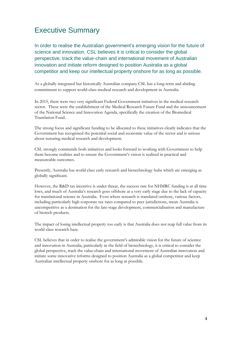# Executive Summary

In order to realise the Australian government's emerging vision for the future of science and innovation, CSL believes it is critical to consider the global perspective, track the value-chain and international movement of Australian innovation and initiate reform designed to position Australia as a global competitior and keep our intellectual property onshore for as long as possible.

As a globally integrated but historically Australian company CSL has a long-term and abiding commitment to support world-class medical research and development in Australia.

In 2015, there were two very significant Federal Government initiatives in the medical research sector. These were the establishment of the Medical Research Future Fund and the announcement of the National Science and Innovation Agenda, specifically the creation of the Biomedical Translation Fund.

The strong focus and significant funding to be allocated to these initiatives clearly indicates that the Government has recognised the potenital social and economic value of the sector and is serious about nuturing medical research and development.

CSL strongly commends both initiatives and looks forward to working with Government to help them become realities and to ensure the Government's vision is realised in practical and measureable outcomes.

Presently, Australia has world class early research and biotechnology hubs which are emerging as globally significant.

However, the R&D tax incentive is under threat, the success rate for NHMRC funding is at all time lows, and much of Australia's research goes offshore at a very early stage due to the lack of capacity for translational science in Australia. Even where research is translated onshore, various factors, including particularly high corporate tax rates compared to peer jurisdictions, mean Australia is uncompetitive as a destination for the late-stage development, commercialisation and manufacture of biotech products.

The impact of losing intellectual property too early is that Australia does not reap full value from its world class research base.

CSL believes that in order to realise the government's admirable vision for the future of scientce and innovation in Australia, particularly in the field of biotechnology, it is critical to consider the global perspective, track the value-chain and international movement of Australian innovation and initiate some innovative reforms designed to position Australia as a global competitior and keep Australian intellectual property onshore for as long as possible.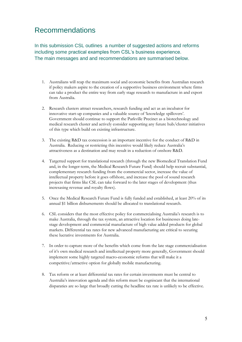### Recommendations

In this submission CSL outlines a number of suggested actions and reforms including some practical examples from CSL's business experience. The main messages and and recommendations are summarised below.

- 1. Australians will reap the maximum social and economic benefits from Australian research if policy makers aspire to the creation of a supportive business environment where firms can take a product the entire way from early stage research to manufacture in and export from Australia.
- 2. Research clusters attract researchers, research funding and act as an incubator for innovative start-up companies and a valuable source of 'knowledge spillovers'. Government should continue to support the Parkville Precinct as a biotechnology and medical research cluster and actively consider supporting any future hub/cluster initiatives of this type which build on existing infrastructure.
- 3. The existing R&D tax concession is an important incentive for the conduct of R&D in Australia. Reducing or restricting this incentive would likely reduce Australia's attractiveness as a destination and may result in a reduction of onshore R&D.
- 4. Targetted support for translational research (through the new Biomedical Translation Fund and, in the longer-term, the Medical Research Future Fund) should help recruit substantial, complementary research funding from the commercial sector, increase the value of intellectual property before it goes offshore, and increase the pool of sound research projects that firms like CSL can take forward to the later stages of development (thus incresasing revenue and royalty flows).
- 5. Once the Medical Research Future Fund is fully funded and established, at least 20% of its annual \$1 billion disbursements should be allocated to translational research.
- 6. CSL considers that the most effective policy for commercialising Australia's research is to make Australia, through the tax system, an attractive location for businesses doing latestage development and commercial manufacture of high value added products for global markets. Differential tax rates for new advanced manufacturing are critical to securing these lucrative investments for Australia.
- 7. In order to capture more of the benefits which come from the late stage commercialisation of it's own medical research and intellectual property more generally, Government should implement some highly targeted macro-economic reforms that will make it a competitive/attractive option for globally mobile manufacturing.
- 8. Tax reform or at least differential tax rates for certain investments must be central to Australia's innovation agenda and this reform must be cogniscant that the international disparaties are so large that broadly cutting the headline tax rate is unlikely to be effective.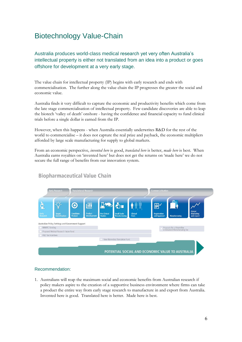# Biotechnology Value-Chain

Australia produces world-class medical research yet very often Australia's intellectual property is either not translated from an idea into a product or goes offshore for development at a very early stage.

The value chain for intellectual property (IP) begins with early research and ends with commercialisation. The further along the value chain the IP progresses the greater the social and economic value.

Australia finds it very difficult to capture the economic and productivity benefits which come from the late stage commercialisation of intellectual property. Few candidate discoveries are able to leap the biotech 'valley of death' onshore - having the confidence and financial capacity to fund clinical trials before a single dollar is earned from the IP.

However, when this happens - when Australia essentially underwrites R&D for the rest of the world to commercialise – it does not capture the real prize and payback, the economic multipliers afforded by large scale manufacturing for supply to global markets.

From an economic perspective, *invented here* is good, *translated here* is better, *made here* is best. When Australia earns royalties on 'invented here' but does not get the returns on 'made here' we do not secure the full range of benefits from our innovation system.



### **Biopharmaceutical Value Chain**

### Recommendation:

1. Australians will reap the maximum social and economic benefits from Australian research if policy makers aspire to the creation of a supportive business environment where firms can take a product the entire way from early stage research to manufacture in and export from Australia. Invented here is good. Translated here is better. Made here is best.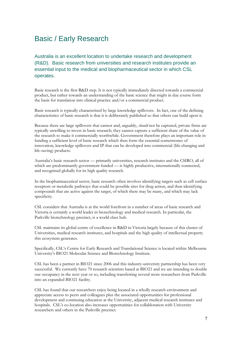### Basic / Early Research

Australia is an excellent location to undertake research and development (R&D). Basic research from universities and research institutes provide an essential input to the medical and biopharmaceutical sector in which CSL operates.

Basic research is the first R&D step. It is not typically immediately directed towards a commercial product, but rather towards an understanding of the basic science that might in due course form the basis for translation into clinical practice and/or a commercial product.

Basic research is typically characterised by large knowledge spillovers. In fact, one of the defining characteristics of basic research is that it is deliberately published so that others can build upon it.

Because there are large spillovers that cannot and, arguably, *should* not be captured, private firms are typically unwilling to invest in basic research; they cannot capture a sufficient share of the value of the research to make it commercially worthwhile. Government therefore plays an important role in funding a sufficient level of basic research which then form the essential cornerstones of innovation, knowledge spillovers and IP that can be developed into commercial (life-changing and life-saving) products.

Australia's basic research sector — primarily universities, research institutes and the CSIRO, all of which are predominantly government funded — is highly productive, internationally connected, and recognised globally for its high quality research.

In the biopharmaceutical sector, basic research often involves identifying targets such as cell surface receptors or metabolic pathways that could be possible sites for drug action, and then identifying compounds that are active against the target, of which there may be many, and which may lack specificity.

CSL considers that Australia is at the world forefront in a number of areas of basic research and Victoria is certainly a world leader in biotechnology and medical research. In particular, the Parkville biotechnology precinct, is a world class hub.

CSL maintains its global centre of excellence in R&D in Victoria largely because of this cluster of Universities, medical research institutes, and hospitals and the high quality of intellectual property this ecosystem generates.

Specifically, CSL's Centre for Early Research and Translational Science is located within Melbourne University's BIO21 Molecular Science and Biotechnology Institute.

CSL has been a partner in BIO21 since 2006 and this industry-university partnership has been very successful. We currently have 70 research scientists based at BIO21 and we are intending to double our occupancy in the next year or so, including transferring several more researchers from Parkville into an expanded BIO21 facility.

CSL has found that our researchers enjoy being located in a wholly research environment and appreciate access to peers and colleagues plus the associated opportunities for professional development and continuing education at the University, adjacent medical research institutes and hospitals. CSL's co-location also increases opportunities for collabloration with University researchers and others in the Parkville precinct.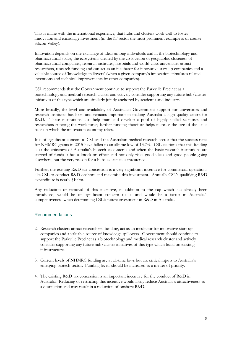This is inline with the international experience, that hubs and clusters work well to foster innovation and encourage investment (in the IT sector the most prominent example is of course Silicon Valley).

Innovation depends on the exchange of ideas among individuals and in the biotechnology and pharmaceutical space, the ecosystems created by the co-location or geographic closeness of pharmaceutical companies, research institutes, hospitals and world-class universities attract researchers, research funding and can act as an incubator for innovative start-up companies and a valuable source of 'knowledge spillovers' (when a given company's innovation stimulates related inventions and technical improvements by other companies).

CSL recommends that the Government continue to support the Parkville Precinct as a biotechnology and medical research cluster and actively consider supporting any future hub/cluster initiatives of this type which are similarly jointly anchored by academia and industry.

More broadly, the level and availability of Australian Government support for universities and research institutes has been and remains important in making Australia a high quality centre for R&D. These institutions also help train and develop a pool of highly skilled scientists and researchers entering the work force; further funding therefore helps increase the size of the skills base on which the innovation economy relies.

It is of significant concern to CSL and the Australian medical research sector that the success rates for NHMRC grants in 2015 have fallen to an alltime low of 13.7%. CSL cautions that this funding is at the epicentre of Australia's biotech ecosystems and when the basic research institutions are starved of funds it has a knock-on effect and not only risks good ideas and good people going elsewhere, but the very reason for a hubs existence is threatened.

Further, the existing R&D tax concession is a very significant incentive for commercial operations like CSL to conduct R&D onshore and maximise this investment. Annually CSL's qualifying R&D expenditure is nearly \$100m.

Any reduction or removal of this incentive, in addition to the cap which has already been introduced, would be of significant concern to us and would be a factor in Australia's competitiveness when determining CSL's future investment in R&D in Australia.

### Recommendations:

- 2. Research clusters attract researchers, funding, act as an incubator for innovative start-up companies and a valuable source of knowledge spillovers. Government should continue to support the Parkville Precinct as a biotechnology and medical research cluster and actively consider supporting any future hub/cluster initiatives of this type which build on existing infrastructure.
- 3. Current levels of NHMRC funding are at all-time lows but are critical inputs to Australia's emerging biotech sector. Funding levels should be increased as a matter of priority.
- 4. The existing R&D tax concession is an important incentive for the conduct of R&D in Australia. Reducing or restricting this incentive would likely reduce Australia's attractiveness as a destination and may result in a reduction of onshore R&D.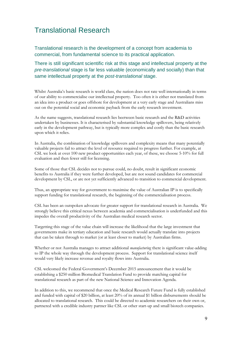### Translational Research

Translational research is the development of a concept from academia to commercial, from fundamental science to its practical application.

There is still significant scientific risk at this stage and intellectual property at the *pre-translational* stage is far less valuable (economically and socially) than that same intellectual property at the *post-translational* stage.

Whilst Australia's basic research is world class, the nation does not rate well internationally in terms of our ability to commercialise our intellectual property. Too often it is either not translated from an idea into a product or goes offshore for development at a very early stage and Australians miss out on the potential social and economic payback from the early research investment.

As the name suggests, translational research lies beetween basic research and the R&D activities undertaken by businesses. It is characterised by substantial knowledge spillovers, being relatively early in the development pathway, but is typically more complex and costly than the basic research upon which it relies.

In Australia, the combination of knowledge spillovers and complexity means that many potentially valuable projects fail to attract the level of resource required to progress further. For example, at CSL we look at over 100 new product opportunities each year, of these, we choose 5-10% for full evaluation and then fewer still for licensing.

Some of those that CSL decides not to pursue could, no doubt, result in significant economic benefits to Australia if they were further developed, but are not sound candidates for commercial development by CSL, or are not yet sufficiently advanced to transition to commercial development.

Thus, an appropriate way for government to maximise the value of Australian IP is to specifically support funding for translational research, the beginning of the commercialisation process.

CSL has been an outspoken advocate for greater support for translational research in Australia. We strongly believe this critical nexus between academia and commercialisation is underfunded and this impedes the overall productivity of the Australian medical research sector.

Targetting this stage of the value chain will increase the likelihood that the large investment that governments make in tertiary education and basic research would actually translate into projects that can be taken through to market (or at least closer to market) by Australian firms.

Whether or not Australia manages to attract additional *manufacturing* there is significant value-adding to IP the whole way through the development process. Support for translational science itself would very likely increase revenue and royalty flows into Australia.

CSL welcomed the Federal Government's December 2015 announcement that it would be establishing a \$250 million Biomedical Translation Fund to provide matching capital for translational research as part of the new National Science and Innovation Agenda.

In addition to this, we recommend that once the Medical Research Future Fund is fully established and funded with capital of \$20 billion, at least 20% of its annual \$1 billion disbursements should be allocated to translational research. This could be directed to academic researchers on their own or, partnered with a credible industry partner like CSL or other start-up and small biotech companies.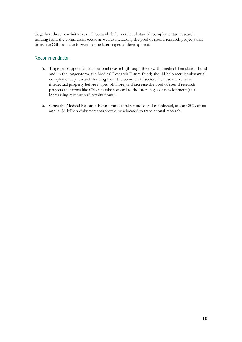Together, these new initiatives will certainly help recruit substantial, complementary research funding from the commercial sector as well as increasing the pool of sound research projects that firms like CSL can take forward to the later stages of development.

### Recommendation:

- 5. Targetted support for translational research (through the new Biomedical Translation Fund and, in the longer-term, the Medical Research Future Fund) should help recruit substantial, complementary research funding from the commercial sector, increase the value of intellectual property before it goes offshore, and increase the pool of sound research projects that firms like CSL can take forward to the later stages of development (thus incresasing revenue and royalty flows).
- 6. Once the Medical Research Future Fund is fully funded and established, at least 20% of its annual \$1 billion disbursements should be allocated to translational research.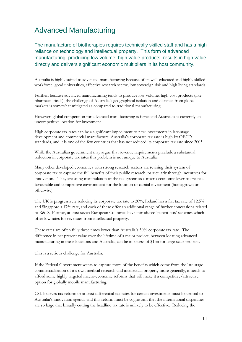# Advanced Manufacturing

The manufacture of biotherapies requires technically skilled staff and has a high reliance on technology and intellectual property. This form of advanced manufacturing, producing low volume, high value products, results in high value directly and delivers significant economic multipliers in its host community.

Australia is highly suited to advanced manufacturing because of its well-educated and highly skilled workforce, good universities, effective research sector, low sovereign risk and high living standards.

Further, because advanced manufacturing tends to produce low volume, high cost products (like pharmaceuticals), the challenge of Australia's geographical isolation and distance from global markets is somewhat mitigated as compared to traditional manufacturing.

However, global competition for advanced manufacturing is fierce and Austrealia is currently an uncompetitive location for investment.

High corporate tax rates can be a significant impediment to new investments in late-stage development and commercial manufacture. Australia's corporate tax rate is high by OECD standards, and it is one of the few countries that has not reduced its corporate tax rate since 2005.

While the Australian government may argue that revenue requirements preclude a substantial reduction in corporate tax rates this problem is not unique to Australia.

Many other developed economies with strong research sectors are revising their system of corporate tax to capture the full benefits of their public research, particularly through incentives for innovation. They are using manipulation of the tax system as a macro-economic lever to create a favourable and competitive environment for the location of capital investment (homegrown or otherwise).

The UK is progressively reducing its corporate tax rate to 20%, Ireland has a flat tax rate of 12.5% and Singapore a 17% rate, and each of these offer an additional range of further concessions related to R&D. Further, at least seven European Countries have introduced 'patent box' schemes which offer low rates for revenues from intellectual property.

These rates are often fully three times lower than Australia's 30% corporate tax rate. The difference in net present value over the lifetime of a major project, between locating advanced manufacturing in these locations and Australia, can be in excess of \$1bn for large-scale projects.

This is a serious challenge for Australia.

If the Federal Government wants to capture more of the benefits which come from the late stage commercialisation of it's own medical research and intellectual property more generally, it needs to afford some highly targeted macro-economic reforms that will make it a competitive/attractive option for globally mobile manufacturing.

CSL believes tax reform or at least differential tax rates for certain investments must be central to Australia's innovation agenda and this reform must be cogniscant that the international disparaties are so large that broadly cutting the headline tax rate is unlikely to be effective. Reducing the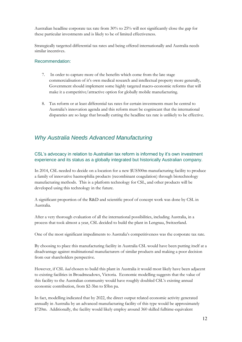Australian headline corporate tax rate from 30% to 25% will not significantly close the gap for these particular investments and is likely to be of limited effectiveness.

Strategically targetted differential tax rates and being offered internationally and Australia needs similar incentives.

#### Recommendation:

- 7. In order to capture more of the benefits which come from the late stage commercialisation of it's own medical research and intellectual property more generally, Government should implement some highly targeted macro-economic reforms that will make it a competitive/attractive option for globally mobile manufacturing.
- 8. Tax reform or at least differential tax rates for certain investments must be central to Australia's innovation agenda and this reform must be cogniscant that the international disparaties are so large that broadly cutting the headline tax rate is unlikely to be effective.

### *Why Australia Needs Advanced Manufacturing*

### CSL's advocacy in relation to Australian tax reform is informed by it's own investment experience and its status as a globally integrated but historically Australian company.

In 2014, CSL needed to decide on a location for a new \$US500m manufacturing facility to produce a family of innovative haemophilia products (recombinant coagulation) through biotechnology manufacturing methods. This is a platform technology for CSL, and other products will be developed using this technology in the future.

A significant proportion of the R&D and scientific proof of concept work was done by CSL in Australia.

After a very thorough evaluation of all the international possibilities, including Australia, in a process that took almost a year, CSL decided to build the plant in Lengnau, Switzerland.

One of the most significant impediments to Australia's competitiveness was the corporate tax rate.

By choosing to place this manufacturing facility in Australia CSL would have been putting itself at a disadvantage against multinational manufacturers of similar products and making a poor decision from our shareholders perspective.

However, if CSL *had* chosen to build this plant in Australia it would most likely have been adjacent to existing facilities in Broadmeadows, Victoria. Economic modelling suggests that the value of this facility to the Australian community would have roughly doubled CSL's existing annual economic contribution, from \$2-3bn to \$5bn pa.

In fact, modelling indicated that by 2022, the direct output related economic activity generated annually in Australia by an advanced manufacturing facility of this type would be approximately \$720m. Additionally, the facility would likely employ around 360 skilled fulltime-equivalent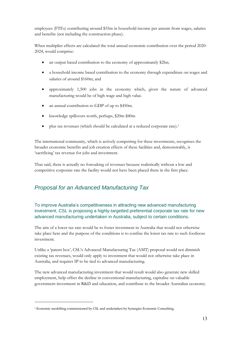employees (FTEs) contributing around \$55m in household income per annum from wages, salaries and benefits (not including the construction phase).

When multiplier effects are calculated the total annual economic contribution over the period 2020- 2024, would comprise:

- an output based contribution to the economy of approximately \$2bn;
- a household income based contribution to the economy through expenditure on wages and salaries of around \$160m; and
- approximately 1,500 jobs in the economy which, given the nature of advanced manufacturing would be of high wage and high value.
- an annual contribution to GDP of up to \$450m.
- knowledge spillovers worth, perhaps, \$20m-\$40m
- plus tax revenues (which should be calculated at a reduced corporate rate). 1

The international community, which is actively competitng for these investments, recognises the broader economic benefits and job creation effects of these facilities and, demonstrably, is 'sacrificing' tax revenue for jobs and investment.

That said, there is actually no foresaking of revenues because realistically without a low and competitive corporate rate the facility would not have been placed there in the first place.

### *Proposal for an Advanced Manufacturing Tax*

### To improve Australia's competitiveness in attracting new advanced manufacturing investment, CSL is proposing a highly-targetted preferential corporate tax rate for new advanced manufacturing undertaken in Australia, subject to certain conditions.

The aim of a lower tax rate would be to foster investment in Australia that would not otherwise take place here and the purpose of the conditions is to confine the lower tax rate to such footloose investment.

Unlike a 'patent box', CSL's Advanced Manufacturing Tax (AMT) proposal would not diminish existing tax revenues, would only apply to investment that would not otherwise take place in Australia, and requires IP to be tied to advanced manufacturing.

The new advanced manufacturing investment that would result would also generate new skilled employment, help offset the decline in conventional manufacturing, capitalise on valuable government investment in R&D and education, and contribute to the broader Australian economy.

<u>.</u>

<sup>&</sup>lt;sup>1</sup> Economic modelling commissioned by CSL and undertaken by Synergies Economic Consulting.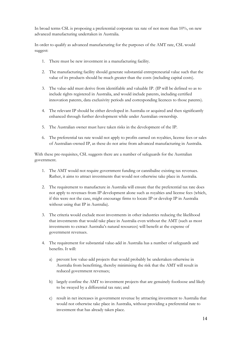In broad terms CSL is proposing a preferential corporate tax rate of not more than 10%, on new advanced manufacturing undertaken in Australia.

In order to qualify as advanced manufacturing for the purposes of the AMT rate, CSL would suggest:

- 1. There must be new investment in a manufacturing facility.
- 2. The manufacturing facility should generate substantial entrepreneurial value such that the value of its products should be much greater than the costs (including capital costs).
- 3. The value-add must derive from identifiable and valuable IP. (IP will be defined so as to include rights registered in Australia, and would include patents, including certified innovation patents, data exclusivity periods and corresponding licences to those patents).
- 4. The relevant IP should be either developed in Australia or acquired and then significantly enhanced through further development while under Australian ownership.
- 5. The Australian owner must have taken risks in the development of the IP.
- 6. The preferential tax rate would not apply to profits earned on royalties, license fees or sales of Australian-owned IP, as these do not arise from advanced manufacturing in Australia.

With these pre-requisites, CSL suggests there are a number of safeguards for the Australian government.

- 1. The AMT would not require government funding or cannibalise existing tax revenues. Rather, it aims to attract investments that would not otherwise take place in Australia.
- 2. The requirement to manufacture in Australia will ensure that the preferential tax rate does not apply to revenues from IP development alone such as royalties and license fees (which, if this were not the case, might encourage firms to locate IP or develop IP in Australia without using that IP in Australia).
- 3. The criteria would exclude most investments in other industries reducing the likelihood that investments that would take place in Australia even without the AMT (such as most investments to extract Australia's natural resources) will benefit at the expense of government revenues.
- 4. The requirement for substantial value-add in Australia has a number of safeguards and benefits. It will:
	- a) prevent low value-add projects that would probably be undertaken otherwise in Australia from benefitting, thereby minimising the risk that the AMT will result in reduced government revenues;
	- b) largely confine the AMT to investment projects that are genuinely footloose and likely to be swayed by a differential tax rate; and
	- c) result in net increases in government revenue by attracting investment to Australia that would not otherwise take place in Australia, without providing a preferential rate to investment that has already taken place.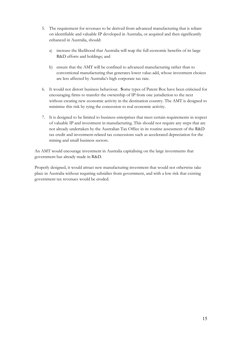- 5. The requirement for revenues to be derived from advanced manufacturing that is reliant on identifiable and valuable IP developed in Australia, or acquired and then significantly enhanced in Australia, should:
	- a) increase the likelihood that Australia will reap the full economic benefits of its large R&D efforts and holdings; and
	- b) ensure that the AMT will be confined to advanced manufacturing rather than to conventional manufacturing that generates lower value-add, whose investment choices are less affected by Australia's high corporate tax rate.
- 6. It would not distort business behaviour. **S**ome types of Patent Box have been criticised for encouraging firms to transfer the ownership of IP from one jurisdiction to the next without creating new economic activity in the destination country. The AMT is designed to minimise this risk by tying the concession to real economic activity.
- 7. It is designed to be limited to business enterprises that meet certain requirements in respect of valuable IP and investment in manufacturing. This should not require any steps that are not already undertaken by the Australian Tax Office in its routine assessment of the R&D tax credit and investment-related tax concessions such as accelerated depreciation for the mining and small business sectors.

An AMT would encourage investment in Australia capitalising on the large investments that government has already made in R&D.

Properly designed, it would attract new manufacturing investment that would not otherwise take place in Australia without requiring subsidies from government, and with a low risk that existing government tax revenues would be eroded.